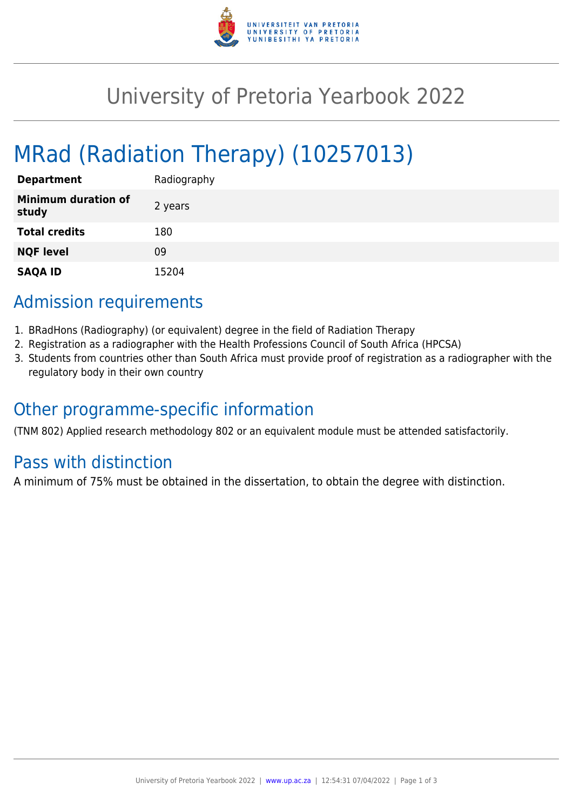

## University of Pretoria Yearbook 2022

# MRad (Radiation Therapy) (10257013)

| <b>Department</b>                   | Radiography |
|-------------------------------------|-------------|
| <b>Minimum duration of</b><br>study | 2 years     |
| <b>Total credits</b>                | 180         |
| <b>NQF level</b>                    | 09          |
| <b>SAQA ID</b>                      | 15204       |

## Admission requirements

- 1. BRadHons (Radiography) (or equivalent) degree in the field of Radiation Therapy
- 2. Registration as a radiographer with the Health Professions Council of South Africa (HPCSA)
- 3. Students from countries other than South Africa must provide proof of registration as a radiographer with the regulatory body in their own country

## Other programme-specific information

(TNM 802) Applied research methodology 802 or an equivalent module must be attended satisfactorily.

## Pass with distinction

A minimum of 75% must be obtained in the dissertation, to obtain the degree with distinction.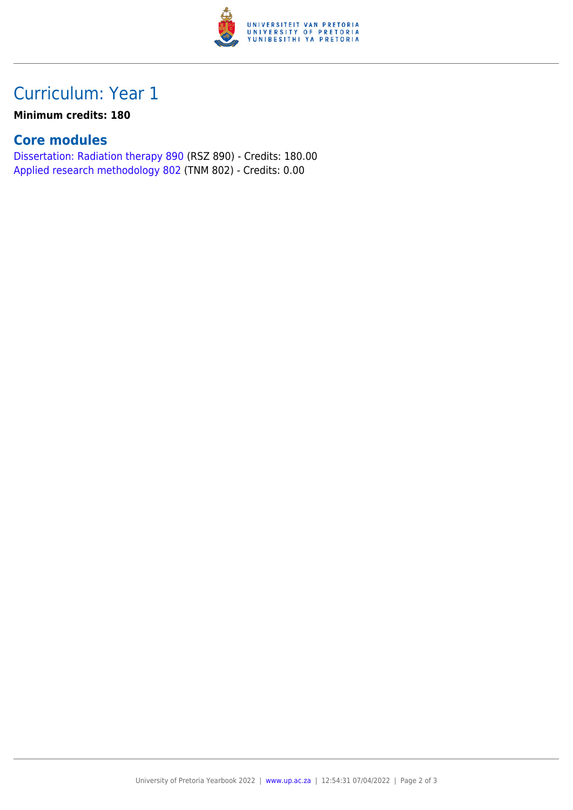

## Curriculum: Year 1

#### **Minimum credits: 180**

#### **Core modules**

[Dissertation: Radiation therapy 890](https://www.up.ac.za/yearbooks/2022/modules/view/RSZ 890) (RSZ 890) - Credits: 180.00 [Applied research methodology 802](https://www.up.ac.za/yearbooks/2022/modules/view/TNM 802) (TNM 802) - Credits: 0.00